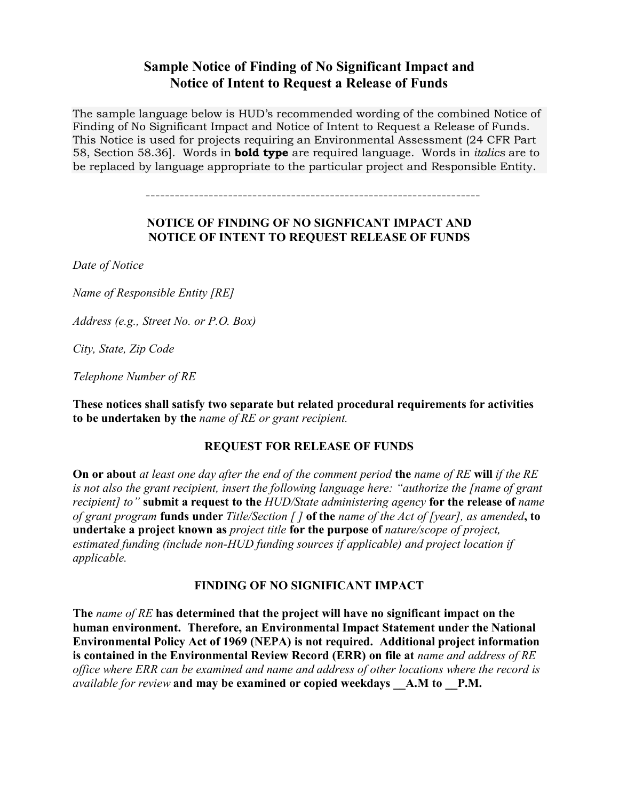# **Sample Notice of Finding of No Significant Impact and Notice of Intent to Request a Release of Funds**

The sample language below is HUD's recommended wording of the combined Notice of Finding of No Significant Impact and Notice of Intent to Request a Release of Funds. This Notice is used for projects requiring an Environmental Assessment (24 CFR Part 58, Section 58.36]. Words in **bold type** are required language. Words in *italics* are to be replaced by language appropriate to the particular project and Responsible Entity.

---------------------------------------------------------------------

### **NOTICE OF FINDING OF NO SIGNFICANT IMPACT AND NOTICE OF INTENT TO REQUEST RELEASE OF FUNDS**

*Date of Notice*

*Name of Responsible Entity [RE]*

*Address (e.g., Street No. or P.O. Box)*

*City, State, Zip Code*

*Telephone Number of RE* 

**These notices shall satisfy two separate but related procedural requirements for activities to be undertaken by the** *name of RE or grant recipient.*

#### **REQUEST FOR RELEASE OF FUNDS**

**On or about** *at least one day after the end of the comment period* **the** *name of RE* **will** *if the RE is not also the grant recipient, insert the following language here: "authorize the [name of grant recipient] to"* **submit a request to the** *HUD/State administering agency* **for the release of** *name of grant program* **funds under** *Title/Section [ ]* **of the** *name of the Act of [year], as amended***, to undertake a project known as** *project title* **for the purpose of** *nature/scope of project, estimated funding (include non-HUD funding sources if applicable) and project location if applicable.*

## **FINDING OF NO SIGNIFICANT IMPACT**

**The** *name of RE* **has determined that the project will have no significant impact on the human environment. Therefore, an Environmental Impact Statement under the National Environmental Policy Act of 1969 (NEPA) is not required. Additional project information is contained in the Environmental Review Record (ERR) on file at** *name and address of RE office where ERR can be examined and name and address of other locations where the record is available for review* **and may be examined or copied weekdays \_\_A.M to \_\_P.M.**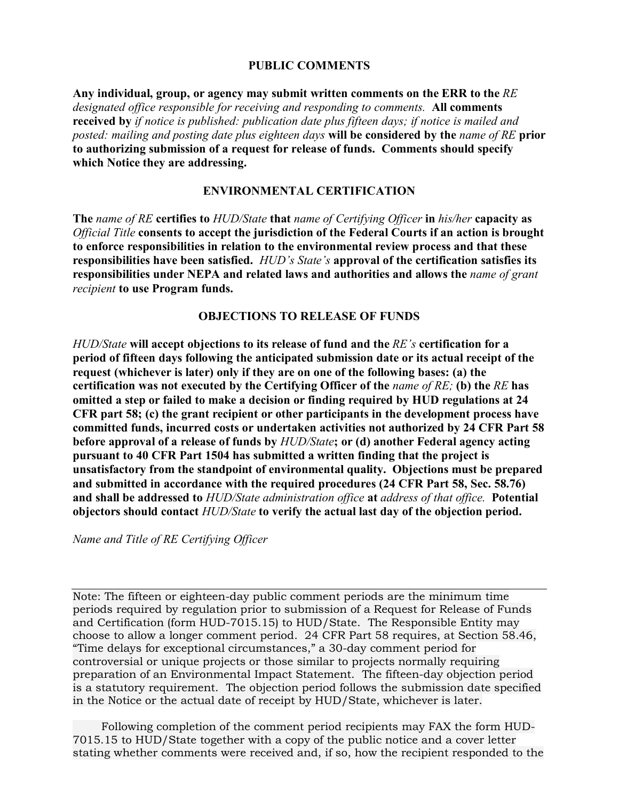#### **PUBLIC COMMENTS**

**Any individual, group, or agency may submit written comments on the ERR to the** *RE designated office responsible for receiving and responding to comments.* **All comments received by** *if notice is published: publication date plus fifteen days; if notice is mailed and posted: mailing and posting date plus eighteen days* **will be considered by the** *name of RE* **prior to authorizing submission of a request for release of funds. Comments should specify which Notice they are addressing.**

## **ENVIRONMENTAL CERTIFICATION**

**The** *name of RE* **certifies to** *HUD/State* **that** *name of Certifying Officer* **in** *his/her* **capacity as**  *Official Title* **consents to accept the jurisdiction of the Federal Courts if an action is brought to enforce responsibilities in relation to the environmental review process and that these responsibilities have been satisfied.** *HUD's State's* **approval of the certification satisfies its responsibilities under NEPA and related laws and authorities and allows the** *name of grant recipient* **to use Program funds.**

## **OBJECTIONS TO RELEASE OF FUNDS**

*HUD/State* **will accept objections to its release of fund and the** *RE's* **certification for a period of fifteen days following the anticipated submission date or its actual receipt of the request (whichever is later) only if they are on one of the following bases: (a) the certification was not executed by the Certifying Officer of the** *name of RE;* **(b) the** *RE* **has omitted a step or failed to make a decision or finding required by HUD regulations at 24 CFR part 58; (c) the grant recipient or other participants in the development process have committed funds, incurred costs or undertaken activities not authorized by 24 CFR Part 58 before approval of a release of funds by** *HUD/State***; or (d) another Federal agency acting pursuant to 40 CFR Part 1504 has submitted a written finding that the project is unsatisfactory from the standpoint of environmental quality. Objections must be prepared and submitted in accordance with the required procedures (24 CFR Part 58, Sec. 58.76) and shall be addressed to** *HUD/State administration office* **at** *address of that office.* **Potential objectors should contact** *HUD/State* **to verify the actual last day of the objection period.**

*Name and Title of RE Certifying Officer*

Note: The fifteen or eighteen-day public comment periods are the minimum time periods required by regulation prior to submission of a Request for Release of Funds and Certification (form HUD-7015.15) to HUD/State. The Responsible Entity may choose to allow a longer comment period. 24 CFR Part 58 requires, at Section 58.46, "Time delays for exceptional circumstances," a 30-day comment period for controversial or unique projects or those similar to projects normally requiring preparation of an Environmental Impact Statement. The fifteen-day objection period is a statutory requirement. The objection period follows the submission date specified in the Notice or the actual date of receipt by HUD/State, whichever is later.

 Following completion of the comment period recipients may FAX the form HUD-7015.15 to HUD/State together with a copy of the public notice and a cover letter stating whether comments were received and, if so, how the recipient responded to the